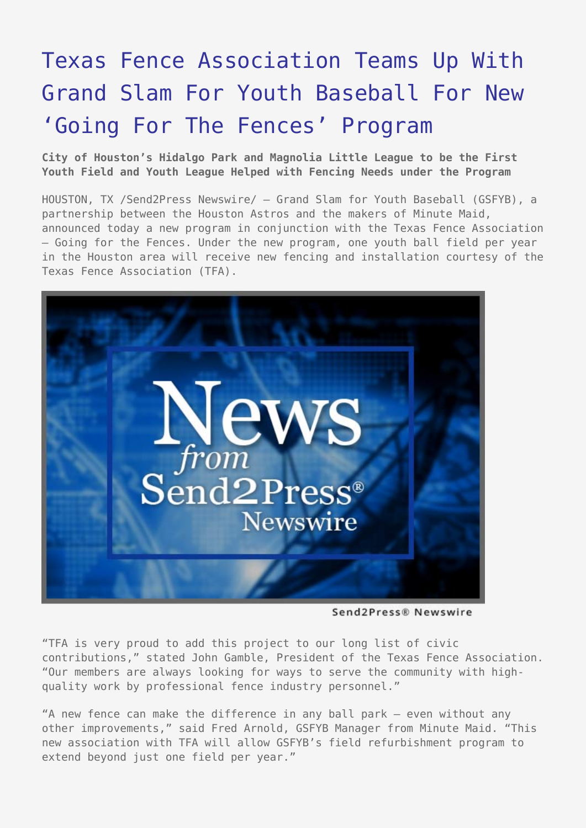## [Texas Fence Association Teams Up With](https://www.send2press.com/wire/2005-02-0217-001/) [Grand Slam For Youth Baseball For New](https://www.send2press.com/wire/2005-02-0217-001/) ['Going For The Fences' Program](https://www.send2press.com/wire/2005-02-0217-001/)

**City of Houston's Hidalgo Park and Magnolia Little League to be the First Youth Field and Youth League Helped with Fencing Needs under the Program**

HOUSTON, TX /Send2Press Newswire/ — Grand Slam for Youth Baseball (GSFYB), a partnership between the Houston Astros and the makers of Minute Maid, announced today a new program in conjunction with the Texas Fence Association – Going for the Fences. Under the new program, one youth ball field per year in the Houston area will receive new fencing and installation courtesy of the Texas Fence Association (TFA).



Send2Press® Newswire

"TFA is very proud to add this project to our long list of civic contributions," stated John Gamble, President of the Texas Fence Association. "Our members are always looking for ways to serve the community with highquality work by professional fence industry personnel."

"A new fence can make the difference in any ball park – even without any other improvements," said Fred Arnold, GSFYB Manager from Minute Maid. "This new association with TFA will allow GSFYB's field refurbishment program to extend beyond just one field per year."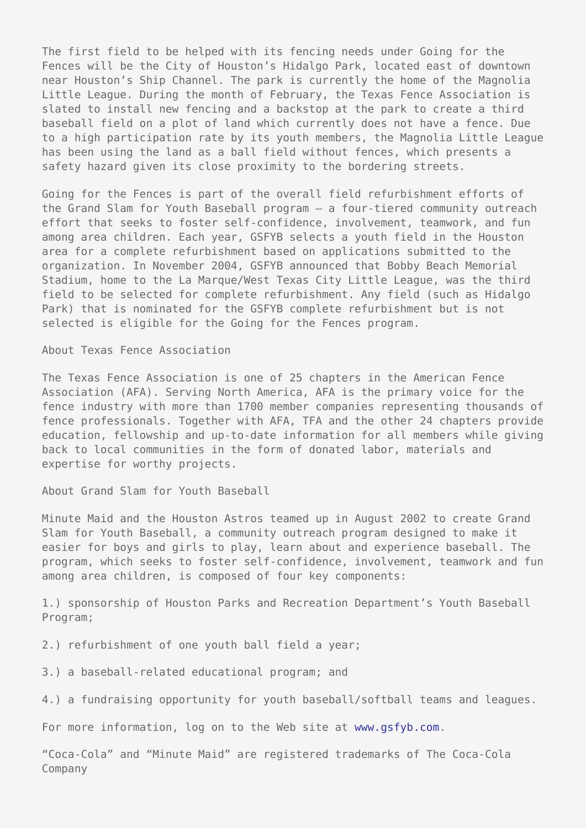The first field to be helped with its fencing needs under Going for the Fences will be the City of Houston's Hidalgo Park, located east of downtown near Houston's Ship Channel. The park is currently the home of the Magnolia Little League. During the month of February, the Texas Fence Association is slated to install new fencing and a backstop at the park to create a third baseball field on a plot of land which currently does not have a fence. Due to a high participation rate by its youth members, the Magnolia Little League has been using the land as a ball field without fences, which presents a safety hazard given its close proximity to the bordering streets.

Going for the Fences is part of the overall field refurbishment efforts of the Grand Slam for Youth Baseball program – a four-tiered community outreach effort that seeks to foster self-confidence, involvement, teamwork, and fun among area children. Each year, GSFYB selects a youth field in the Houston area for a complete refurbishment based on applications submitted to the organization. In November 2004, GSFYB announced that Bobby Beach Memorial Stadium, home to the La Marque/West Texas City Little League, was the third field to be selected for complete refurbishment. Any field (such as Hidalgo Park) that is nominated for the GSFYB complete refurbishment but is not selected is eligible for the Going for the Fences program.

About Texas Fence Association

The Texas Fence Association is one of 25 chapters in the American Fence Association (AFA). Serving North America, AFA is the primary voice for the fence industry with more than 1700 member companies representing thousands of fence professionals. Together with AFA, TFA and the other 24 chapters provide education, fellowship and up-to-date information for all members while giving back to local communities in the form of donated labor, materials and expertise for worthy projects.

About Grand Slam for Youth Baseball

Minute Maid and the Houston Astros teamed up in August 2002 to create Grand Slam for Youth Baseball, a community outreach program designed to make it easier for boys and girls to play, learn about and experience baseball. The program, which seeks to foster self-confidence, involvement, teamwork and fun among area children, is composed of four key components:

1.) sponsorship of Houston Parks and Recreation Department's Youth Baseball Program;

2.) refurbishment of one youth ball field a year;

3.) a baseball-related educational program; and

4.) a fundraising opportunity for youth baseball/softball teams and leagues.

For more information, log on to the Web site at [www.gsfyb.com](http://www.gsfyb.com).

"Coca-Cola" and "Minute Maid" are registered trademarks of The Coca-Cola Company